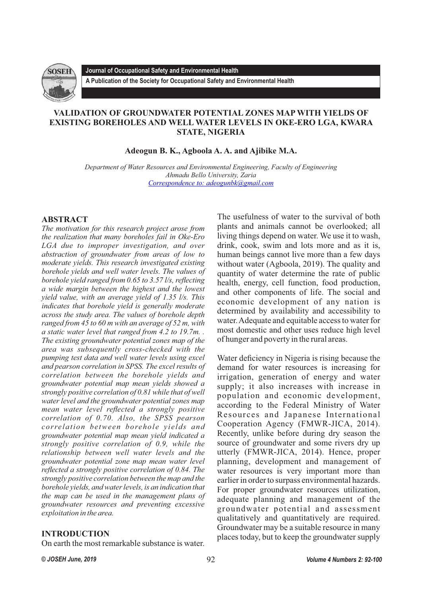

**Journal of Occupational Safety and Environmental Health A Publication of the Society for Occupational Safety and Environmental Health** 

# **VALIDATION OF GROUNDWATER POTENTIAL ZONES MAP WITH YIELDS OF EXISTING BOREHOLES AND WELL WATER LEVELS IN OKE-ERO LGA, KWARA STATE, NIGERIA**

**Adeogun B. K., Agboola A. A. and Ajibike M.A.**

*Department of Water Resources and Environmental Engineering, Faculty of Engineering Ahmadu Bello University, Zaria [Correspondence to: adeogunbk@gmail.com](mailto:adeogunbk@gmail.com)*

# **ABSTRACT**

*The motivation for this research project arose from the realization that many boreholes fail in Oke-Ero LGA due to improper investigation, and over abstraction of groundwater from areas of low to moderate yields. This research investigated existing borehole yields and well water levels. The values of borehole yield ranged from 0.65 to 3.57 l/s, reflecting a wide margin between the highest and the lowest yield value, with an average yield of 1.35 l/s. This indicates that borehole yield is generally moderate across the study area. The values of borehole depth ranged from 45 to 60 m with an average of 52 m, with a static water level that ranged from 4.2 to 19.7m. . The existing groundwater potential zones map of the area was subsequently cross*-*checked with the pumping test data and well water levels using excel and pearson correlation in SPSS. The excel results of correlation between the borehole yields and groundwater potential map mean yields showed a strongly positive correlation of 0.81 while that of well water level and the groundwater potential zones map mean water level reflected a strongly positive correlation of 0.70. Also, the SPSS pearson correlation between borehole yields and groundwater potential map mean yield indicated a strongly positive correlation of 0.9, while the relationship between well water levels and the groundwater potential zone map mean water level reflected a strongly positive correlation of 0.84. The strongly positive correlation between the map and the borehole yields, and water levels, is an indication that the map can be used in the management plans of groundwater resources and preventing excessive exploitation in the area.*

# **INTRODUCTION**

On earth the most remarkable substance is water.

The usefulness of water to the survival of both plants and animals cannot be overlooked; all living things depend on water. We use it to wash, drink, cook, swim and lots more and as it is, human beings cannot live more than a few days without water (Agboola, 2019). The quality and quantity of water determine the rate of public health, energy, cell function, food production, and other components of life. The social and economic development of any nation is determined by availability and accessibility to water. Adequate and equitable access to water for most domestic and other uses reduce high level of hunger and poverty in the rural areas.

Water deficiency in Nigeria is rising because the demand for water resources is increasing for irrigation, generation of energy and water supply; it also increases with increase in population and economic development, according to the Federal Ministry of Water Resources and Japanese International Cooperation Agency (FMWR-JICA, 2014). Recently, unlike before during dry season the source of groundwater and some rivers dry up utterly (FMWR-JICA, 2014). Hence, proper planning, development and management of water resources is very important more than earlier in order to surpass environmental hazards. For proper groundwater resources utilization, adequate planning and management of the groundwater potential and assessment qualitatively and quantitatively are required. Groundwater may be a suitable resource in many places today, but to keep the groundwater supply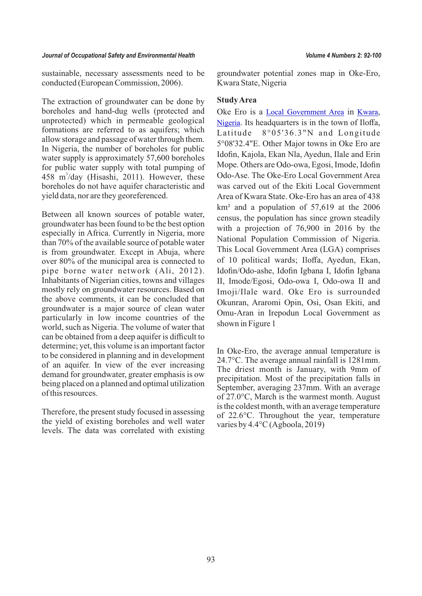93

#### *Journal of Occupational Safety and Environmental Health Volume 4 Numbers 2: 92-100*

sustainable, necessary assessments need to be conducted (European Commission, 2006).

The extraction of groundwater can be done by boreholes and hand-dug wells (protected and unprotected) which in permeable geological formations are referred to as aquifers; which allow storage and passage of water through them. In Nigeria, the number of boreholes for public water supply is approximately 57,600 boreholes for public water supply with total pumping of 458 m<sup>3</sup>/day (Hisashi, 2011). However, these boreholes do not have aquifer characteristic and yield data, nor are they georeferenced.

Between all known sources of potable water, groundwater has been found to be the best option especially in Africa. Currently in Nigeria, more than 70% of the available source of potable water is from groundwater. Except in Abuja, where over 80% of the municipal area is connected to pipe borne water network (Ali, 2012). Inhabitants of Nigerian cities, towns and villages mostly rely on groundwater resources. Based on the above comments, it can be concluded that groundwater is a major source of clean water particularly in low income countries of the world, such as Nigeria. The volume of water that can be obtained from a deep aquifer is difficult to determine; yet, this volume is an important factor to be considered in planning and in development of an aquifer. In view of the ever increasing demand for groundwater, greater emphasis is ow being placed on a planned and optimal utilization of this resources.

Therefore, the present study focused in assessing the yield of existing boreholes and well water levels. The data was correlated with existing

groundwater potential zones map in Oke-Ero, Kwara State, Nigeria

#### **Study Area**

Oke Ero is a **[Local Government Area](https://en.wikipedia.org/wiki/Local_Government_Areas_of_Nigeria)** in **[Kwara](https://en.wikipedia.org/wiki/Kwara_State)**, [Nigeria](https://en.wikipedia.org/wiki/Nigeria). Its headquarters is in the town of Iloffa, Latitude 8°05'36.3"N and Longitude 5°08'32.4"E. Other Major towns in Oke Ero are Idofin, Kajola, Ekan Nla, Ayedun, Ilale and Erin Mope. Others are Odo-owa, Egosi, Imode, Idofin Odo-Ase. The Oke-Ero Local Government Area was carved out of the Ekiti Local Government Area of Kwara State. Oke-Ero has an area of 438 km² and a population of 57,619 at the 2006 census, the population has since grown steadily with a projection of 76,900 in 2016 by the National Population Commission of Nigeria. This Local Government Area (LGA) comprises of 10 political wards; Iloffa, Ayedun, Ekan, Idofin/Odo-ashe, Idofin Igbana I, Idofin Igbana II, Imode/Egosi, Odo-owa I, Odo-owa II and Imoji/Ilale ward. Oke Ero is surrounded Okunran, Araromi Opin, Osi, Osan Ekiti, and Omu-Aran in Irepodun Local Government as shown in Figure 1

In Oke-Ero, the average annual temperature is 24.7°C. The average annual rainfall is 1281mm. The driest month is January, with 9mm of precipitation. Most of the precipitation falls in September, averaging 237mm. With an average of 27.0°C, March is the warmest month. August is the coldest month, with an average temperature of 22.6°C. Throughout the year, temperature varies by 4.4°C (Agboola, 2019)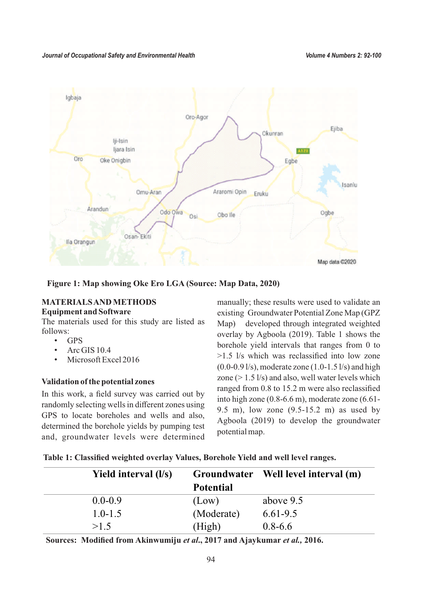

**Figure 1: Map showing Oke Ero LGA (Source: Map Data, 2020)**

# **MATERIALS AND METHODS**

#### **Equipment and Software**

The materials used for this study are listed as follows:

- GPS
- Arc GIS 10.4
- Microsoft Excel 2016

# **Validation of the potential zones**

In this work, a field survey was carried out by randomly selecting wells in different zones using GPS to locate boreholes and wells and also, determined the borehole yields by pumping test and, groundwater levels were determined

manually; these results were used to validate an existing Groundwater Potential Zone Map (GPZ Map) developed through integrated weighted overlay by Agboola (2019). Table 1 shows the borehole yield intervals that ranges from 0 to >1.5 l/s which was reclassified into low zone  $(0.0-0.9 \frac{1}{s})$ , moderate zone  $(1.0-1.5 \frac{1}{s})$  and high zone ( $> 1.5$  l/s) and also, well water levels which ranged from 0.8 to 15.2 m were also reclassified into high zone (0.8-6.6 m), moderate zone (6.61- 9.5 m), low zone (9.5-15.2 m) as used by Agboola (2019) to develop the groundwater potential map.

| Yield interval (l/s) |                  | Groundwater Well level interval (m) |
|----------------------|------------------|-------------------------------------|
|                      | <b>Potential</b> |                                     |
| $0.0 - 0.9$          | (Low)            | above 9.5                           |
| $1.0 - 1.5$          | (Moderate)       | $6.61 - 9.5$                        |
| >1.5                 | (High)           | $0.8 - 6.6$                         |

**Sources: Modified from Akinwumiju** *et al***., 2017 and Ajaykumar** *et al.,* **2016.**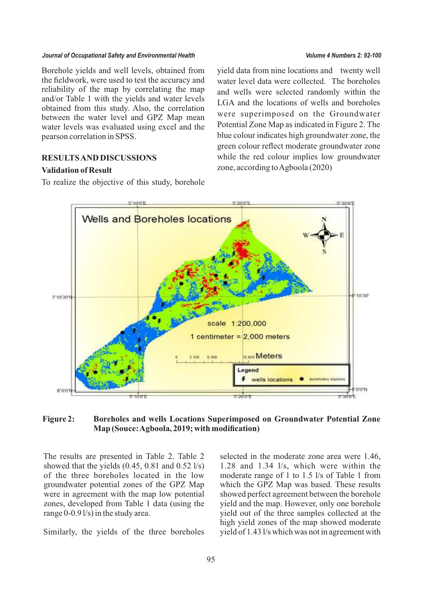#### *Journal of Occupational Safety and Environmental Health Volume 4 Numbers 2: 92-100*

Borehole yields and well levels, obtained from the fieldwork, were used to test the accuracy and reliability of the map by correlating the map and/or Table 1 with the yields and water levels obtained from this study. Also, the correlation between the water level and GPZ Map mean water levels was evaluated using excel and the pearson correlation in SPSS.

## **RESULTS AND DISCUSSIONS**

#### **Validation of Result**

To realize the objective of this study, borehole

yield data from nine locations and twenty well water level data were collected. The boreholes and wells were selected randomly within the LGA and the locations of wells and boreholes were superimposed on the Groundwater Potential Zone Map as indicated in Figure 2. The blue colour indicates high groundwater zone, the green colour reflect moderate groundwater zone while the red colour implies low groundwater zone, according to Agboola (2020)



#### **Figure 2: Boreholes and wells Locations Superimposed on Groundwater Potential Zone Map (Souce: Agboola, 2019; with modification)**

The results are presented in Table 2. Table 2 showed that the yields  $(0.45, 0.81, 0.61)$  and  $(0.52 \frac{1}{s})$ of the three boreholes located in the low groundwater potential zones of the GPZ Map were in agreement with the map low potential zones, developed from Table 1 data (using the range 0-0.9 l/s) in the study area.

Similarly, the yields of the three boreholes

selected in the moderate zone area were 1.46, 1.28 and 1.34 l/s, which were within the moderate range of 1 to 1.5 l/s of Table 1 from which the GPZ Map was based. These results showed perfect agreement between the borehole yield and the map. However, only one borehole yield out of the three samples collected at the high yield zones of the map showed moderate yield of 1.43 l/s which was not in agreement with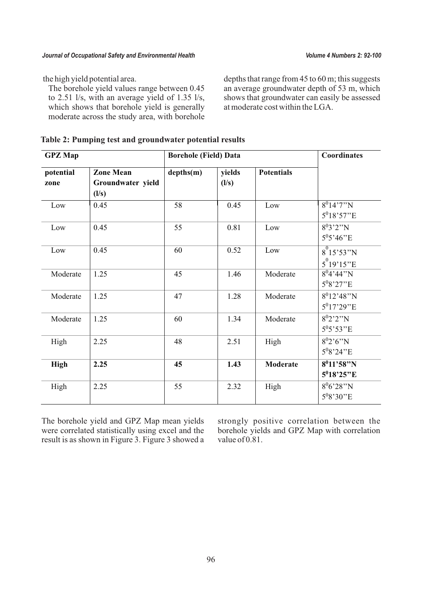the high yield potential area.

The borehole yield values range between 0.45 to 2.51 l/s, with an average yield of 1.35 l/s, which shows that borehole yield is generally moderate across the study area, with borehole

depths that range from 45 to 60 m; this suggests an average groundwater depth of 53 m, which shows that groundwater can easily be assessed at moderate cost within the LGA.

| Table 2: Pumping test and groundwater potential results |  |
|---------------------------------------------------------|--|
|---------------------------------------------------------|--|

| <b>GPZ</b> Map    |                                                | <b>Borehole (Field) Data</b> |                 | Coordinates       |                                         |
|-------------------|------------------------------------------------|------------------------------|-----------------|-------------------|-----------------------------------------|
| potential<br>zone | <b>Zone Mean</b><br>Groundwater yield<br>(l/s) | depths(m)                    | yields<br>(l/s) | <b>Potentials</b> |                                         |
| Low               | 0.45                                           | 58                           | 0.45            | Low               | $8^014'7''N$<br>$5^018'57''E$           |
| Low               | 0.45                                           | 55                           | 0.81            | Low               | $8^03'2''N$<br>$5^{0}5'46''E$           |
| Low               | 0.45                                           | 60                           | 0.52            | Low               | $8^{0}15'53''N$<br>$5^{0}19'15''E$      |
| Moderate          | 1.25                                           | 45                           | 1.46            | Moderate          | $8^04'44''N$<br>$5^{0}8'27''E$          |
| Moderate          | 1.25                                           | 47                           | 1.28            | Moderate          | $8^012'48''N$<br>$5^017'29''E$          |
| Moderate          | 1.25                                           | 60                           | 1.34            | Moderate          | $8^02'2''N$<br>$5^{0}5'53''E$           |
| High              | 2.25                                           | 48                           | 2.51            | High              | $8^02'6''N$<br>$5^{0}8'24''E$           |
| <b>High</b>       | 2.25                                           | 45                           | 1.43            | <b>Moderate</b>   | $8^011'58''N$<br>5 <sup>0</sup> 18'25"E |
| High              | 2.25                                           | 55                           | 2.32            | High              | $8^{0}6'28''N$<br>$5^{0}8'30''E$        |

The borehole yield and GPZ Map mean yields were correlated statistically using excel and the result is as shown in Figure 3. Figure 3 showed a

strongly positive correlation between the borehole yields and GPZ Map with correlation value of 0.81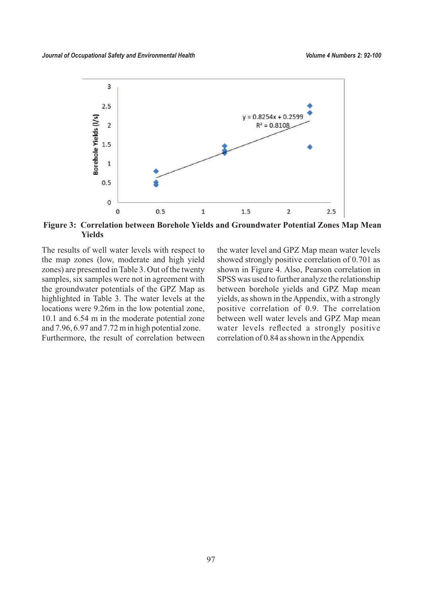

**Figure 3: Correlation between Borehole Yields and Groundwater Potential Zones Map Mean Yields**

The results of well water levels with respect to the map zones (low, moderate and high yield zones) are presented in Table 3. Out of the twenty samples, six samples were not in agreement with the groundwater potentials of the GPZ Map as highlighted in Table 3. The water levels at the locations were 9.26m in the low potential zone, 10.1 and 6.54 m in the moderate potential zone and 7.96, 6.97 and 7.72 m in high potential zone. Furthermore, the result of correlation between

the water level and GPZ Map mean water levels showed strongly positive correlation of 0.701 as shown in Figure 4. Also, Pearson correlation in SPSS was used to further analyze the relationship between borehole yields and GPZ Map mean yields, as shown in the Appendix, with a strongly positive correlation of 0.9. The correlation between well water levels and GPZ Map mean water levels reflected a strongly positive correlation of 0.84 as shown in the Appendix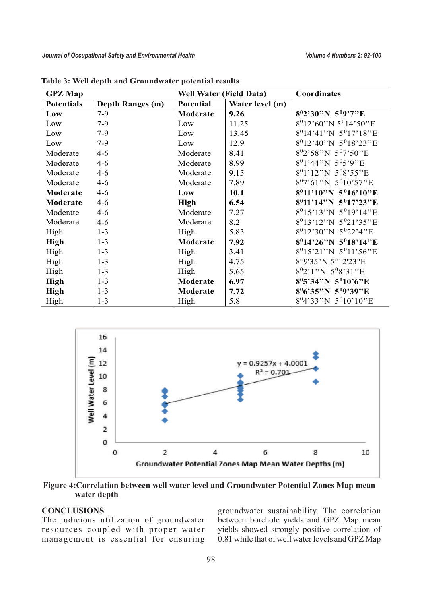| <b>Well Water (Field Data)</b><br><b>GPZ</b> Map |                         |                                     | <b>Coordinates</b> |                                               |
|--------------------------------------------------|-------------------------|-------------------------------------|--------------------|-----------------------------------------------|
| <b>Potentials</b>                                | <b>Depth Ranges (m)</b> | <b>Potential</b><br>Water level (m) |                    |                                               |
| Low                                              | $7-9$                   | Moderate                            | 9.26               | $8^02'30''N 5^09'7''E$                        |
| Low                                              | $7-9$                   | Low                                 | 11.25              | 8 <sup>0</sup> 12'60"N 5 <sup>0</sup> 14'50"E |
| Low                                              | $7-9$                   | Low                                 | 13.45              | $8^014'41''N 5^017'18''E$                     |
| Low                                              | $7-9$                   | Low                                 | 12.9               | $8^012'40''N 5^018'23''E$                     |
| Moderate                                         | $4 - 6$                 | Moderate                            | 8.41               | $8^{0}2'58''N 5^{0}7'50''E$                   |
| Moderate                                         | $4 - 6$                 | Moderate                            | 8.99               | $8^01'$ <sup>44</sup> "N $5^05'$ 9"E          |
| Moderate                                         | $4 - 6$                 | Moderate                            | 9.15               | $8^01'12''N 5^08'55''E$                       |
| Moderate                                         | $4 - 6$                 | Moderate                            | 7.89               | $8^07'61''N 5^010'57''E$                      |
| Moderate                                         | $4 - 6$                 | Low                                 | 10.1               | $8^011'10''N 5^016'10''E$                     |
| <b>Moderate</b>                                  | $4 - 6$                 | <b>High</b>                         | 6.54               | $8^011'14''N 5^017'23''E$                     |
| Moderate                                         | $4 - 6$                 | Moderate                            | 7.27               | 8 <sup>0</sup> 15'13"N 5 <sup>0</sup> 19'14"E |
| Moderate                                         | $4 - 6$                 | Moderate                            | 8.2                | 8 <sup>0</sup> 13'12"N 5 <sup>0</sup> 21'35"E |
| High                                             | $1 - 3$                 | High                                | 5.83               | 8 <sup>0</sup> 12'30"N 5 <sup>0</sup> 22'4"E  |
| <b>High</b>                                      | $1 - 3$                 | Moderate                            | 7.92               | $8^014^226''N 5^018'14''E$                    |
| High                                             | $1 - 3$                 | High                                | 3.41               | 8 <sup>0</sup> 15'21"N 5 <sup>0</sup> 11'56"E |
| High                                             | $1 - 3$                 | High                                | 4.75               | 8°9'35"N 5°12'23"E                            |
| High                                             | $1 - 3$                 | High                                | 5.65               | $8^{0}2'1''N$ 5 <sup>0</sup> 8'31"E           |
| <b>High</b>                                      | $1 - 3$                 | Moderate                            | 6.97               | $8^05'34''N 5^010'6''E$                       |
| <b>High</b>                                      | $1 - 3$                 | Moderate                            | 7.72               | $8^{0}6'35''N 5^{0}9'39''E$                   |
| High                                             | $1 - 3$                 | High                                | 5.8                | 8 <sup>0</sup> 4'33"N 5 <sup>0</sup> 10'10"E  |

**Table 3: Well depth and Groundwater potential results**



**Figure 4:Correlation between well water level and Groundwater Potential Zones Map mean water depth**

# **CONCLUSIONS**

The judicious utilization of groundwater resources coupled with proper water management is essential for ensuring groundwater sustainability. The correlation between borehole yields and GPZ Map mean yields showed strongly positive correlation of 0.81 while that of well water levels and GPZ Map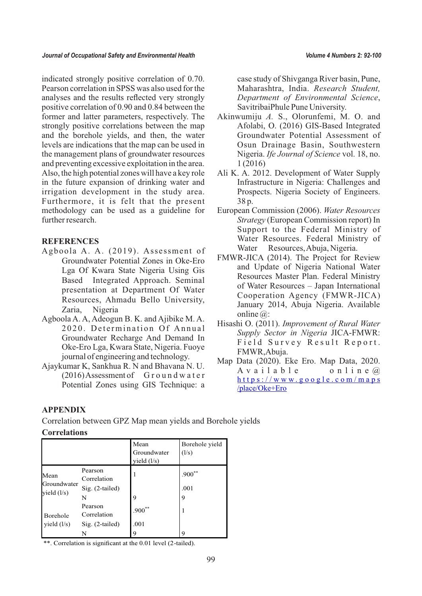indicated strongly positive correlation of 0.70. Pearson correlation in SPSS was also used for the analyses and the results reflected very strongly positive correlation of 0.90 and 0.84 between the former and latter parameters, respectively. The strongly positive correlations between the map and the borehole yields, and then, the water levels are indications that the map can be used in the management plans of groundwater resources and preventing excessive exploitation in the area. Also, the high potential zones will have a key role in the future expansion of drinking water and irrigation development in the study area. Furthermore, it is felt that the present methodology can be used as a guideline for further research.

#### **REFERENCES**

- Agboola A. A. (2019). Assessment of Groundwater Potential Zones in Oke-Ero Lga Of Kwara State Nigeria Using Gis Based Integrated Approach. Seminal presentation at Department Of Water Resources, Ahmadu Bello University, Zaria, Nigeria
- Agboola A. A, Adeogun B. K. and Ajibike M. A. 2020. Determination Of Annual Groundwater Recharge And Demand In Oke-Ero Lga, Kwara State, Nigeria. Fuoye journal of engineering and technology.
- Ajaykumar K, Sankhua R. N and Bhavana N. U.  $(2016)$  Assessment of G round water Potential Zones using GIS Technique: a

case study of Shivganga River basin, Pune, Maharashtra, India. *Research Student, Department of Environmental Science*, SavitribaiPhule Pune University.

- Akinwumiju *A.* S., Olorunfemi, M. O. and Afolabi, O. (2016) GIS-Based Integrated Groundwater Potential Assessment of Osun Drainage Basin, Southwestern Nigeria. *Ife Journal of Science* vol. 18, no. 1 (2016)
- Ali K. A. 2012. Development of Water Supply Infrastructure in Nigeria: Challenges and Prospects. Nigeria Society of Engineers. 38 p.
- European Commission (2006). *Water Resources Strategy* (European Commission report) In Support to the Federal Ministry of Water Resources. Federal Ministry of Water Resources, Abuja, Nigeria.
- FMWR-JICA (2014). The Project for Review and Update of Nigeria National Water Resources Master Plan. Federal Ministry of Water Resources – Japan International Cooperation Agency (FMWR-JICA) January 2014, Abuja Nigeria. Available online @:
- Hisashi O. (2011). *Improvement of Rural Water Supply Sector in Nigeria* JICA-FMWR: Field Survey Result Report. FMWR,Abuja.
- Map Data (2020). Eke Ero. Map Data, 2020. A v a i l a b l e o n l i n e  $\omega$  $https://www.google.com/maps$  $https://www.google.com/maps$  $https://www.google.com/maps$ [/place/Oke+Ero](https://www.google.com/maps%20/place/Oke+Ero)

# **APPENDIX**

Correlation between GPZ Map mean yields and Borehole yields

#### **Correlations**

|                                      |                                           | Mean<br>Groundwater<br>yield $(l/s)$ | Borehole yield<br>(1/s) |
|--------------------------------------|-------------------------------------------|--------------------------------------|-------------------------|
| Mean<br>Groundwater<br>yield $(l/s)$ | Pearson<br>Correlation<br>Sig. (2-tailed) | 1                                    | $.900**$<br>.001        |
|                                      | N                                         | 9                                    | 9                       |
| Borehole<br>yield $(l/s)$            | Pearson<br>Correlation                    | $.900**$                             |                         |
|                                      | $Sig. (2-tailed)$                         | .001                                 |                         |
|                                      |                                           | 9                                    | Q                       |

\*\*. Correlation is significant at the 0.01 level (2-tailed).